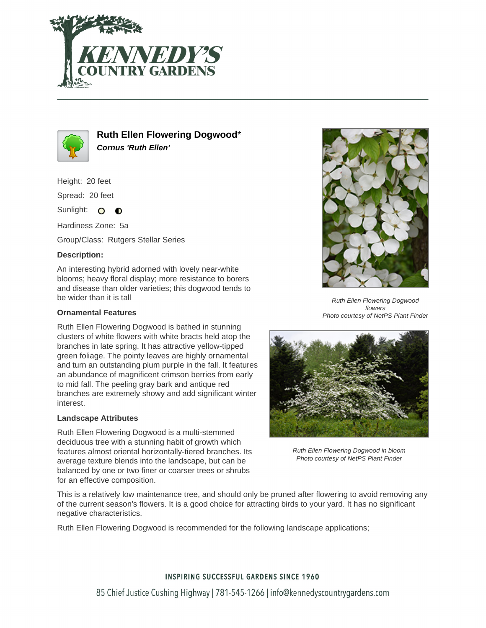



**Ruth Ellen Flowering Dogwood**\* **Cornus 'Ruth Ellen'**

Height: 20 feet

Spread: 20 feet

Sunlight: O **O** 

Hardiness Zone: 5a

Group/Class: Rutgers Stellar Series

### **Description:**

An interesting hybrid adorned with lovely near-white blooms; heavy floral display; more resistance to borers and disease than older varieties; this dogwood tends to be wider than it is tall

#### **Ornamental Features**

Ruth Ellen Flowering Dogwood is bathed in stunning clusters of white flowers with white bracts held atop the branches in late spring. It has attractive yellow-tipped green foliage. The pointy leaves are highly ornamental and turn an outstanding plum purple in the fall. It features an abundance of magnificent crimson berries from early to mid fall. The peeling gray bark and antique red branches are extremely showy and add significant winter interest.

#### **Landscape Attributes**

Ruth Ellen Flowering Dogwood is a multi-stemmed deciduous tree with a stunning habit of growth which features almost oriental horizontally-tiered branches. Its average texture blends into the landscape, but can be balanced by one or two finer or coarser trees or shrubs for an effective composition.



Ruth Ellen Flowering Dogwood flowers Photo courtesy of NetPS Plant Finder



Ruth Ellen Flowering Dogwood in bloom Photo courtesy of NetPS Plant Finder

This is a relatively low maintenance tree, and should only be pruned after flowering to avoid removing any of the current season's flowers. It is a good choice for attracting birds to your yard. It has no significant negative characteristics.

Ruth Ellen Flowering Dogwood is recommended for the following landscape applications;

# **INSPIRING SUCCESSFUL GARDENS SINCE 1960** 85 Chief Justice Cushing Highway | 781-545-1266 | info@kennedyscountrygardens.com